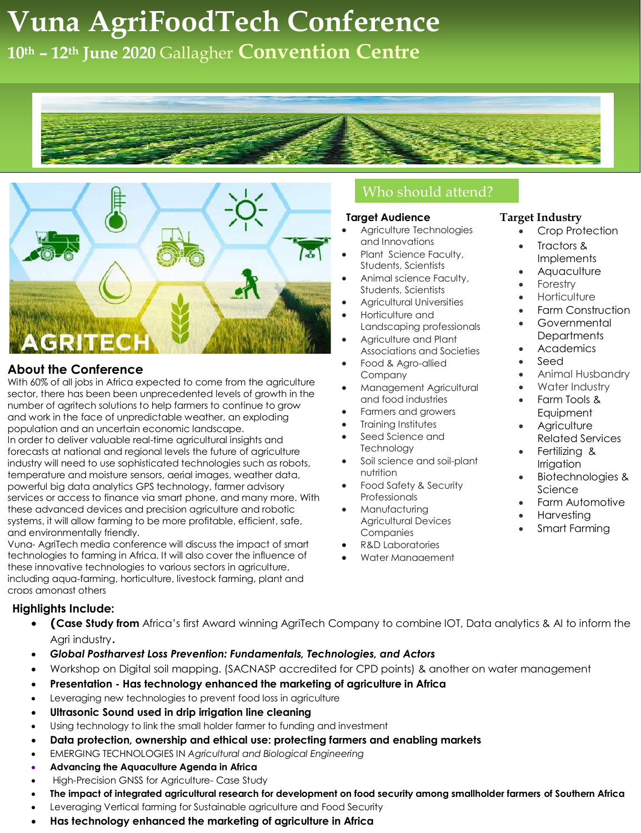# **Explicit United Constructions Agricult Construction Centre Vuna AgriFoodTech Conference**

**10th – 12th June 2020** Gallagher **Convention Centre**





## **About the Conference**

With 60% of all jobs in Africa expected to come from the agriculture sector, there has been been unprecedented levels of growth in the number of agritech solutions to help farmers to continue to grow and work in the face of unpredictable weather, an exploding population and an uncertain economic landscape. In order to deliver valuable real-time agricultural insights and forecasts at national and regional levels the future of agriculture industry will need to use sophisticated technologies such as robots, temperature and moisture sensors, aerial images, weather data, powerful big data analytics GPS technology, farmer advisory services or access to finance via smart phone, and many more. With these advanced devices and precision agriculture and robotic systems, it will allow farming to be more profitable, efficient, safe, and environmentally friendly.

Vuna- AgriTech media conference will discuss the impact of smart technologies to farming in Africa. It will also cover the influence of these innovative technologies to various sectors in agriculture, including aqua-farming, horticulture, livestock farming, plant and crops amongst others

### **Highlights Include:**

- **(Case Study from** Africa's first Award winning AgriTech Company to combine IOT, Data analytics & AI to inform the Agri industry.
- *Global Postharvest Loss Prevention: Fundamentals, Technologies, and Actors*
- Workshop on Digital soil mapping. (SACNASP accredited for CPD points) & another on water management
- **Presentation - Has technology enhanced the marketing of agriculture in Africa**
- Leveraging new technologies to prevent food loss in agriculture
- **Ultrasonic Sound used in drip irrigation line cleaning**
- Using technology to link the small holder farmer to funding and investment
- **Data protection, ownership and ethical use: protecting farmers and enabling markets**
- EMERGING TECHNOLOGIES IN *Agricultural and Biological Engineering*
- **[Advancing the Aquaculture Agenda in](https://www.oecd-ilibrary.org/agriculture-and-food/advancing-the-aquaculture-agenda_9789264088726-en) Africa**
- High-Precision GNSS for Agriculture- Case Study
- **The impact of integrated agricultural research for development on food security among smallholder farmers of Southern Africa**
- Leveraging Vertical farming for Sustainable agriculture and Food Security
- **Has technology enhanced the marketing of agriculture in Africa**

# Who should attend?

### **Target Audience**

- Agriculture Technologies and Innovations
- Plant Science Faculty, Students, Scientists
- Animal science Faculty, Students, Scientists
- Agricultural Universities
- Horticulture and Landscaping professionals
- Agriculture and Plant Associations and Societies
- Food & Agro-allied Company
- Management Agricultural and food industries
- Farmers and growers
- Training Institutes
- Seed Science and **Technology**
- Soil science and soil-plant nutrition
- Food Safety & Security **Professionals**
- Manufacturing Agricultural Devices **Companies**
- R&D Laboratories
- Water Management

### **Target Industry**

- Crop Protection
- Tractors & Implements
- **Aquaculture**
- Forestry
- **Horticulture**
- Farm Construction Governmental **Departments**
- Academics
- Seed
- Animal Husbandry
- Water Industry
- Farm Tools & **Equipment**
- **Agriculture** Related Services
- Fertilizing & Irrigation
- Biotechnologies & Science
- Farm Automotive
- Harvesting
- Smart Farming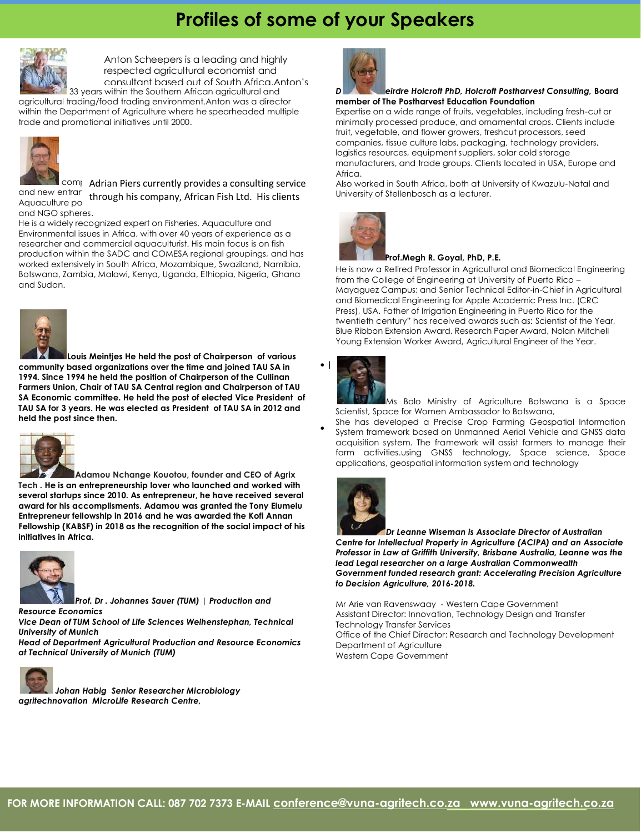# **Profiles of some of your Speakers**



33 years within the Southern African agricultural and experience extends over Anton Scheepers is a leading and highly respected agricultural economist and consultant based out of South Africa.Anton's

agricultural trading/food trading environment.Anton was a director within the Department of Agriculture where he spearheaded multiple trade and promotional initiatives until 2000.



comprise Marian Piers currently provides a consulting service and new entrar<br>Aguaculture porth**rough his company, African Fish Ltd. His clients** Aquaculture po and NGO spheres.

He is a widely recognized expert on Fisheries, Aquaculture and Environmental issues in Africa, with over 40 years of experience as a researcher and commercial aquaculturist. His main focus is on fish production within the SADC and COMESA regional groupings, and has worked extensively in South Africa, Mozambique, Swaziland, Namibia, Botswana, Zambia, Malawi, Kenya, Uganda, Ethiopia, Nigeria, Ghana and Sudan.



**Louis Meintjes He held the post of Chairperson of various community based organizations over the time and joined TAU SA in 1994. Since 1994 he held the position of Chairperson of the Cullinan Farmers Union, Chair of TAU SA Central region and Chairperson of TAU SA Economic committee. He held the post of elected Vice President of TAU SA for 3 years. He was elected as President of TAU SA in 2012 and held the post since then.**



**Adamou Nchange Kouotou, founder and CEO of Agrix Tech . He is an entrepreneurship lover who launched and worked with several startups since 2010. As entrepreneur, he have received several award for his accomplisments. Adamou was granted the Tony Elumelu Entrepreneur fellowship in 2016 and he was awarded the Kofi Annan Fellowship (KABSF) in 2018 as the recognition of the social impact of his initiatives in Africa.**



*Prof. Dr . Johannes Sauer (TUM) | Production and Resource Economics*

*Vice Dean of TUM School of Life Sciences Weihenstephan, Technical University of Munich*

*Head of Department Agricultural Production and Resource Economics at Technical University of Munich (TUM)*



*Johan Habig Senior Researcher Microbiology agritechnovation MicroLife Research Centre,*



#### *D eirdre Holcroft PhD, Holcroft Postharvest Consulting,* **Board member of The Postharvest Education Foundation**

Expertise on a wide range of fruits, vegetables, including fresh-cut or minimally processed produce, and ornamental crops. Clients include fruit, vegetable, and flower growers, freshcut processors, seed companies, tissue culture labs, packaging, technology providers, logistics resources, equipment suppliers, solar cold storage manufacturers, and trade groups. Clients located in USA, Europe and Africa.

Also worked in South Africa, both at University of Kwazulu-Natal and University of Stellenbosch as a lecturer.



#### **Prof.Megh R. Goyal, PhD, P.E.**

He is now a Retired Professor in Agricultural and Biomedical Engineering from the College of Engineering at University of Puerto Rico – Mayaguez Campus; and Senior Technical Editor-in-Chief in Agricultural and Biomedical Engineering for Apple Academic Press Inc. (CRC Press), USA. Father of Irrigation Engineering in Puerto Rico for the twentieth century" has received awards such as: Scientist of the Year, Blue Ribbon Extension Award, Research Paper Award, Nolan Mitchell Young Extension Worker Award, Agricultural Engineer of the Year.



•

Ms Bolo Ministry of Agriculture Botswana is a Space Scientist, Space for Women Ambassador to Botswana,

She has developed a Precise Crop Farming Geospatial Information System framework based on Unmanned Aerial Vehicle and GNSS data acquisition system. The framework will assist farmers to manage their farm activities.using GNSS technology, Space science, Space applications, geospatial information system and technology



*Dr Leanne Wiseman is Associate Director of Australian Centre for Intellectual Property in Agriculture (ACIPA) and an Associate Professor in Law at Griffith University, Brisbane Australia, Leanne was the lead Legal researcher on a large Australian Commonwealth Government funded research grant: Accelerating Precision Agriculture to Decision Agriculture, 2016-2018.*

Mr Arie van Ravenswaay - Western Cape Government Assistant Director: Innovation, Technology Design and Transfer Technology Transfer Services Office of the Chief Director: Research and Technology Development Department of Agriculture Western Cape Government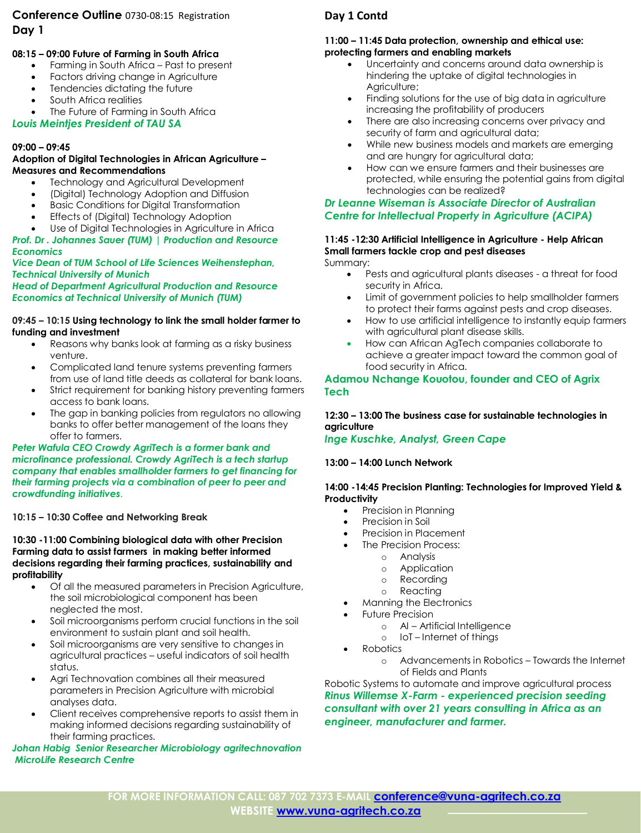### **Conference Outline** 0730-08:15 Registration **Day 1**

# **Management 08:15 – 09:00 Future of Farming in South Africa**

- Farming in South Africa Past to present
- Factors driving change in Agriculture
- Tendencies dictating the future
- South Africa realities
- The Future of Farming in South Africa

### *Louis Meintjes President of TAU SA*

### **09:00 – 09:45**

#### **Adoption of Digital Technologies in African Agriculture – Measures and Recommendations**

- Technology and Agricultural Development
- (Digital) Technology Adoption and Diffusion
- Basic Conditions for Digital Transformation
- Effects of (Digital) Technology Adoption
- Use of Digital Technologies in Agriculture in Africa

#### *Prof. Dr . Johannes Sauer (TUM) | Production and Resource Economics*

### *Vice Dean of TUM School of Life Sciences Weihenstephan, Technical University of Munich*

#### *Head of Department Agricultural Production and Resource Economics at Technical University of Munich (TUM)*

#### **09:45 – 10:15 Using technology to link the small holder farmer to funding and investment**

- Reasons why banks look at farming as a risky business venture.
- Complicated land tenure systems preventing farmers from use of land title deeds as collateral for bank loans.
- Strict requirement for banking history preventing farmers access to bank loans.
- The gap in banking policies from regulators no allowing banks to offer better management of the loans they offer to farmers.

#### *Peter Wafula CEO Crowdy AgriTech is a former bank and microfinance professional. Crowdy AgriTech is a tech startup company that enables smallholder farmers to get financing for their farming projects via a combination of peer to peer and crowdfunding initiatives*.

### **10:15 – 10:30 Coffee and Networking Break**

**10:30 -11:00 Combining biological data with other Precision Farming data to assist farmers in making better informed decisions regarding their farming practices, sustainability and profitability**

- Of all the measured parameters in Precision Agriculture, the soil microbiological component has been neglected the most.
- Soil microorganisms perform crucial functions in the soil environment to sustain plant and soil health.
- Soil microorganisms are very sensitive to changes in agricultural practices – useful indicators of soil health status.
- Agri Technovation combines all their measured parameters in Precision Agriculture with microbial analyses data.
- Client receives comprehensive reports to assist them in making informed decisions regarding sustainability of their farming practices.

### *Johan Habig Senior Researcher Microbiology agritechnovation MicroLife Research Centre*

### **Day 1 Contd**

#### **11:00 – 11:45 Data protection, ownership and ethical use: protecting farmers and enabling markets**

- Uncertainty and concerns around data ownership is hindering the uptake of digital technologies in Agriculture;
- Finding solutions for the use of big data in agriculture increasing the profitability of producers
- There are also increasing concerns over privacy and security of farm and agricultural data;
- While new business models and markets are emerging and are hungry for agricultural data;
- How can we ensure farmers and their businesses are protected, while ensuring the potential gains from digital technologies can be realized?

### *Dr Leanne Wiseman is Associate Director of Australian Centre for Intellectual Property in Agriculture (ACIPA)*

### **11:45 -12:30 Artificial Intelligence in Agriculture - Help African Small farmers tackle crop and pest diseases**

Summary:

- Pests and agricultural plants diseases a threat for food security in Africa.
- Limit of government policies to help smallholder farmers to protect their farms against pests and crop diseases.
- How to use artificial intelligence to instantly equip farmers with agricultural plant disease skills.
- How can African AgTech companies collaborate to achieve a greater impact toward the common goal of food security in Africa.

### **Adamou Nchange Kouotou, founder and CEO of Agrix Tech**

### **12:30 – 13:00 The business case for sustainable technologies in agriculture**

*Inge Kuschke, Analyst, Green Cape*

### **13:00 – 14:00 Lunch Network**

### **14:00 -14:45 Precision Planting: Technologies for Improved Yield & Productivity**

- Precision in Planning
- Precision in Soil
- Precision in Placement
- The Precision Process:
	- o Analysis
	- o Application
	- o Recording
	- o Reacting
- Manning the Electronics
- Future Precision
	- o AI Artificial Intelligence
	- o IoT Internet of things
- Robotics
	- o Advancements in Robotics Towards the Internet of Fields and Plants

Robotic Systems to automate and improve agricultural process *Rinus Willemse X-Farm - experienced precision seeding consultant with over 21 years consulting in Africa as an engineer, manufacturer and farmer.*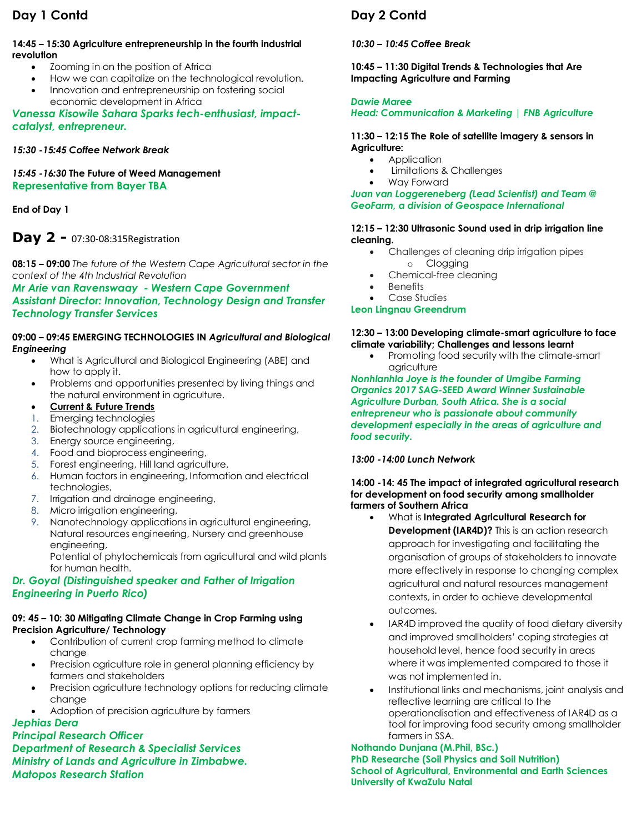## **Day 1 Contd**

### **14:45 – 15:30 Agriculture entrepreneurship in the fourth industrial revolution**

- Zooming in on the position of Africa
	- How we can capitalize on the technological revolution.
- Innovation and entrepreneurship on fostering social economic development in Africa

*Vanessa Kisowile Sahara Sparks tech-enthusiast, impactcatalyst, entrepreneur.*

### *15:30 -15:45 Coffee Network Break*

*15:45 -16:30* **The Future of Weed Management Representative from Bayer TBA**

**End of Day 1**

# **Day 2 -** 07:30-08:315Registration

**08:15 – 09:00** *The future of the Western Cape Agricultural sector in the context of the 4th Industrial Revolution*

*Mr Arie van Ravenswaay - Western Cape Government Assistant Director: Innovation, Technology Design and Transfer Technology Transfer Services*

### **09:00 – 09:45 EMERGING TECHNOLOGIES IN** *Agricultural and Biological Engineering*

- What is Agricultural and Biological Engineering (ABE) and how to apply it.
- Problems and opportunities presented by living things and the natural environment in agriculture.
- **Current & Future Trends**
- 1. Emerging technologies
- 2. Biotechnology applications in agricultural engineering,
- 3. Energy source engineering,
- 4. Food and bioprocess engineering,
- 5. Forest engineering, Hill land agriculture,
- 6. Human factors in engineering, Information and electrical technologies,
- 7. Irrigation and drainage engineering,
- 8. Micro irrigation engineering,
- 9. Nanotechnology applications in agricultural engineering, Natural resources engineering, Nursery and greenhouse engineering,

Potential of phytochemicals from agricultural and wild plants for human health.

### *Dr. Goyal (Distinguished speaker and Father of Irrigation Engineering in Puerto Rico)*

### **09: 45 – 10: 30 Mitigating Climate Change in Crop Farming using Precision Agriculture/ Technology**

- Contribution of current crop farming method to climate change
- Precision agriculture role in general planning efficiency by farmers and stakeholders
- Precision agriculture technology options for reducing climate change
- Adoption of precision agriculture by farmers

## *Jephias Dera*

*Principal Research Officer Department of Research & Specialist Services Ministry of Lands and Agriculture in Zimbabwe. Matopos Research Station*

# **Day 2 Contd**

### *10:30 – 10:45 Coffee Break*

**10:45 – 11:30 Digital Trends & Technologies that Are Impacting Agriculture and Farming**

### *Dawie Maree*

### *Head: Communication & Marketing | FNB Agriculture*

### **11:30 – 12:15 The Role of satellite imagery & sensors in Agriculture:**

- Application
- Limitations & Challenges
- Way Forward

### *Juan van Loggereneberg (Lead Scientist) and Team @ GeoFarm, a division of Geospace International*

### **12:15 – 12:30 Ultrasonic Sound used in drip irrigation line cleaning.**

- Challenges of cleaning drip irrigation pipes
	- o Clogging
- Chemical-free cleaning
- **Benefits**

#### Case Studies **Leon Lingnau Greendrum**

### **12:30 – 13:00 Developing climate-smart agriculture to face climate variability; Challenges and lessons learnt**

• Promoting food security with the climate-smart agriculture

*Nonhlanhla Joye is the founder of Umgibe Farming Organics 2017 SAG-SEED Award Winner Sustainable Agriculture Durban, South Africa. She is a social entrepreneur who is passionate about community development especially in the areas of agriculture and food security.*

### *13:00 -14:00 Lunch Network*

### **14:00 -14: 45 The impact of integrated agricultural research for development on food security among smallholder farmers of Southern Africa**

- What is **Integrated Agricultural Research for Development (IAR4D)?** This is an action research approach for investigating and facilitating the organisation of groups of stakeholders to innovate more effectively in response to changing complex agricultural and natural resources management contexts, in order to achieve developmental outcomes.
- IAR4D improved the quality of food dietary diversity and improved smallholders' coping strategies at household level, hence food security in areas where it was implemented compared to those it was not implemented in.
- Institutional links and mechanisms, joint analysis and reflective learning are critical to the operationalisation and effectiveness of IAR4D as a tool for improving food security among smallholder farmers in SSA.

### **Nothando Dunjana (M.Phil, BSc.) PhD Researche (Soil Physics and Soil Nutrition) School of Agricultural, Environmental and Earth Sciences University of KwaZulu Natal**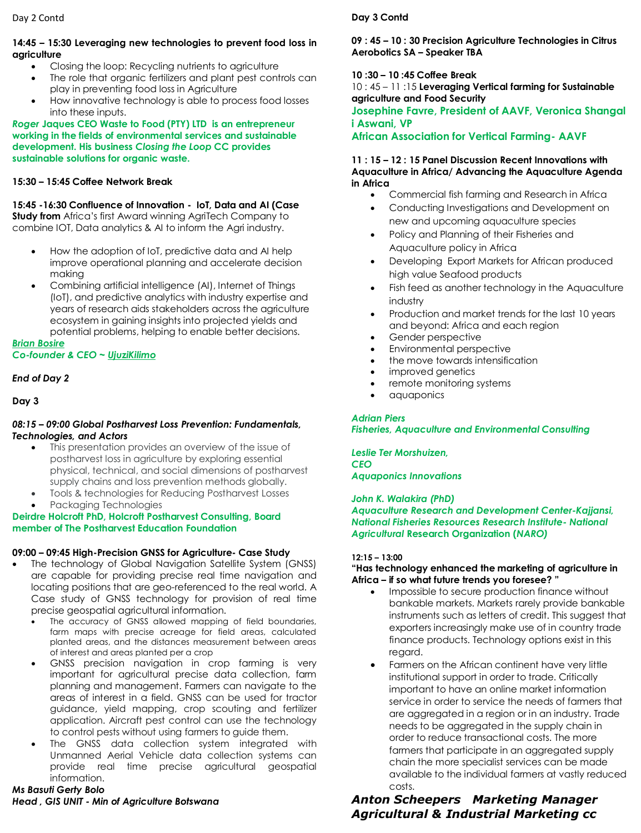#### Day 2 Contd

#### **14:45 – 15:30 Leveraging new technologies to prevent food loss in agriculture**

- Closing the loop: Recycling nutrients to agriculture
- The role that organic fertilizers and plant pest controls can play in preventing food loss in Agriculture
- How innovative technology is able to process food losses into these inputs.

*Roger* **Jaques CEO Waste to Food (PTY) LTD is an entrepreneur working in the fields of environmental services and sustainable development. His business** *Closing the Loop* **CC provides sustainable solutions for organic waste.** 

### **15:30 – 15:45 Coffee Network Break**

**15:45 -16:30 Confluence of Innovation - IoT, Data and AI (Case Study from** Africa's first Award winning AgriTech Company to combine IOT, Data analytics & AI to inform the Agri industry.

- How the adoption of IoT, predictive data and AI help improve operational planning and accelerate decision making
- Combining artificial intelligence (AI), Internet of Things (IoT), and predictive analytics with industry expertise and years of research aids stakeholders across the agriculture ecosystem in gaining insights into projected yields and potential problems, helping to enable better decisions.

*[Brian Bosire](http://brianbosire.com/)*

### *Co-founder & CEO ~ [UjuziKilimo](http://ujuzikilimo.com/)*

### *End of Day 2*

**Day 3**

#### *08:15 – 09:00 Global Post[harvest Loss Prevention: Fundamentals,](https://worldveg.tind.io/record/73168/files/eb0352.pdf)  Technologies, and Actors*

- This presentation provides an overview of the issue of postharvest loss in agriculture by exploring essential physical, technical, and social dimensions of postharvest supply chains and loss prevention methods globally.
- Tools & technologies for Reducing Postharvest Losses
- Packaging Technologies

### **Deirdre Holcroft PhD, Holcroft Postharvest Consulting, Board member of The Postharvest Education Foundation**

### **09:00 – 09:45 High-Precision GNSS for Agriculture- Case Study**

- The technology of Global Navigation Satellite System (GNSS) are capable for providing precise real time navigation and locating positions that are geo-referenced to the real world. A Case study of GNSS technology for provision of real time precise geospatial agricultural information.
	- The accuracy of GNSS allowed mapping of field boundaries, farm maps with precise acreage for field areas, calculated planted areas, and the distances measurement between areas of interest and areas planted per a crop
	- GNSS precision navigation in crop farming is very important for agricultural precise data collection, farm planning and management. Farmers can navigate to the areas of interest in a field. GNSS can be used for tractor guidance, yield mapping, crop scouting and fertilizer application. Aircraft pest control can use the technology to control pests without using farmers to guide them.
	- The GNSS data collection system integrated with Unmanned Aerial Vehicle data collection systems can provide real time precise agricultural geospatial information.

*Ms Basuti Gerty Bolo Head , GIS UNIT - Min of Agriculture Botswana*

### **Day 3 Contd**

### **09 : 45 – 10 : 30 Precision Agriculture Technologies in Citrus Aerobotics SA – Speaker TBA**

### **10 :30 – 10 :45 Coffee Break**

10 : 45 – 11 :15 **Leveraging Vertical farming for Sustainable agriculture and Food Security**

### **Josephine Favre, President of AAVF, Veronica Shangal i Aswani, VP**

**African Association for Vertical Farming- AAVF**

#### **11 : 15 – 12 : 15 Panel Discussion Recent Innovations with Aquaculture in Africa/ Advancing the Aquaculture Agenda in Africa**

- Commercial fish farming and Research in Africa
- Conducting Investigations and Development on new and upcoming aquaculture species
- Policy and Planning of their Fisheries and Aquaculture policy in Africa
- Developing Export Markets for African produced high value Seafood products
- Fish feed as another technology in the Aquaculture industry
- Production and market trends for the last 10 years and beyond: Africa and each region
- Gender perspective
- Environmental perspective
- the move towards intensification
- improved genetics
- remote monitoring systems
- aquaponics

### *Adrian Piers*

*Fisheries, Aquaculture and Environmental Consulting*

*Leslie Ter Morshuizen, CEO Aquaponics Innovations*

*John K. Walakira (PhD)* 

*Aquaculture Research and Development Center-Kajjansi, National Fisheries Resources Research Institute- National Agricultural* **Research Organization (***NARO)* 

### **12:15 – 13:00**

### **"Has technology enhanced the marketing of agriculture in Africa – if so what future trends you foresee? "**

- Impossible to secure production finance without bankable markets. Markets rarely provide bankable instruments such as letters of credit. This suggest that exporters increasingly make use of in country trade finance products. Technology options exist in this regard.
- Farmers on the African continent have very little institutional support in order to trade. Critically important to have an online market information service in order to service the needs of farmers that are aggregated in a region or in an industry. Trade needs to be aggregated in the supply chain in order to reduce transactional costs. The more farmers that participate in an aggregated supply chain the more specialist services can be made available to the individual farmers at vastly reduced costs.

### *Anton Scheepers Marketing Manager Agricultural & Industrial Marketing cc*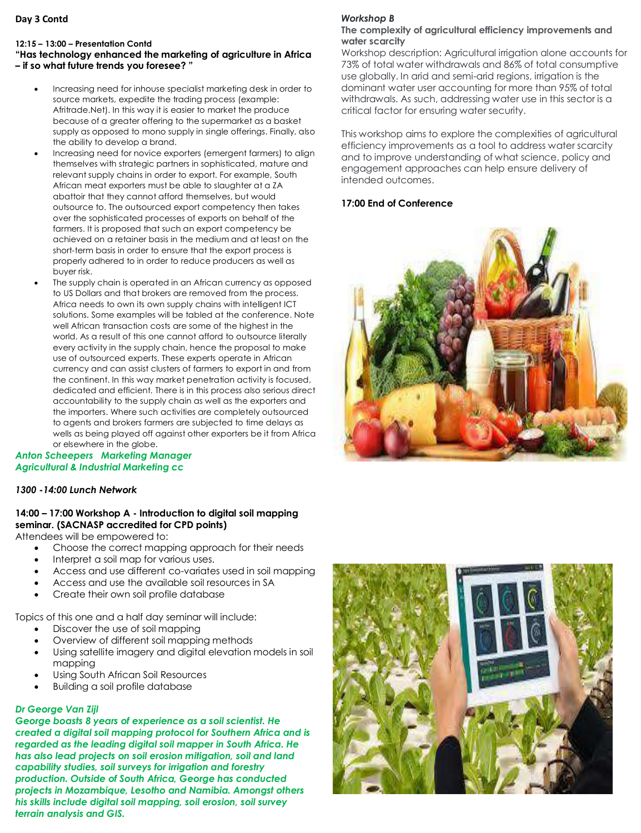### **Day 3 Contd**

#### **12:15 – 13:00 – Presentation Contd**

### **"Has technology enhanced the marketing of agriculture in Africa – if so what future trends you foresee? "**

- Increasing need for inhouse specialist marketing desk in order to source markets, expedite the trading process (example: Afritrade.Net). In this way it is easier to market the produce because of a greater offering to the supermarket as a basket supply as opposed to mono supply in single offerings. Finally, also the ability to develop a brand.
- Increasing need for novice exporters (emergent farmers) to align themselves with strategic partners in sophisticated, mature and relevant supply chains in order to export. For example, South African meat exporters must be able to slaughter at a ZA abattoir that they cannot afford themselves, but would outsource to. The outsourced export competency then takes over the sophisticated processes of exports on behalf of the farmers. It is proposed that such an export competency be achieved on a retainer basis in the medium and at least on the short-term basis in order to ensure that the export process is properly adhered to in order to reduce producers as well as buyer risk.
- The supply chain is operated in an African currency as opposed to US Dollars and that brokers are removed from the process. Africa needs to own its own supply chains with intelligent ICT solutions. Some examples will be tabled at the conference. Note well African transaction costs are some of the highest in the world. As a result of this one cannot afford to outsource literally every activity in the supply chain, hence the proposal to make use of outsourced experts. These experts operate in African currency and can assist clusters of farmers to export in and from the continent. In this way market penetration activity is focused, dedicated and efficient. There is in this process also serious direct accountability to the supply chain as well as the exporters and the importers. Where such activities are completely outsourced to agents and brokers farmers are subjected to time delays as wells as being played off against other exporters be it from Africa or elsewhere in the globe.

### *Anton Scheepers Marketing Manager Agricultural & Industrial Marketing cc*

### *1300 -14:00 Lunch Network*

### **14:00 – 17:00 Workshop A - Introduction to digital soil mapping seminar. (SACNASP accredited for CPD points)**

Attendees will be empowered to:

- Choose the correct mapping approach for their needs
- Interpret a soil map for various uses.
- Access and use different co-variates used in soil mapping
- Access and use the available soil resources in SA
- Create their own soil profile database

Topics of this one and a half day seminar will include:

- Discover the use of soil mapping
- Overview of different soil mapping methods
- Using satellite imagery and digital elevation models in soil mapping
- Using South African Soil Resources
- Building a soil profile database

### *Dr George Van Zijl*

*George boasts 8 years of experience as a soil scientist. He created a digital soil mapping protocol for Southern Africa and is regarded as the leading digital soil mapper in South Africa. He has also lead projects on soil erosion mitigation, soil and land capability studies, soil surveys for irrigation and forestry production. Outside of South Africa, George has conducted projects in Mozambique, Lesotho and Namibia. Amongst others his skills include digital soil mapping, soil erosion, soil survey terrain analysis and GIS.*

### *Workshop B*

### **The complexity of agricultural efficiency improvements and water scarcity**

Workshop description: Agricultural irrigation alone accounts for 73% of total water withdrawals and 86% of total consumptive use globally. In arid and semi-arid regions, irrigation is the dominant water user accounting for more than 95% of total withdrawals. As such, addressing water use in this sector is a critical factor for ensuring water security.

This workshop aims to explore the complexities of agricultural efficiency improvements as a tool to address water scarcity and to improve understanding of what science, policy and engagement approaches can help ensure delivery of intended outcomes.

### **17:00 End of Conference**